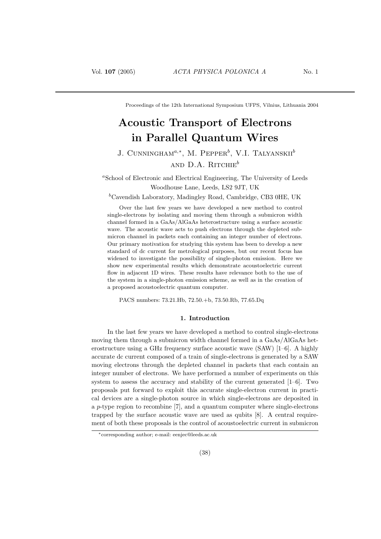Proceedings of the 12th International Symposium UFPS, Vilnius, Lithuania 2004

# Acoustic Transport of Electrons in Parallel Quantum Wires

# J. CUNNINGHAM<sup> $a,*$ </sup>, M. Pepper<sup>b</sup>, V.I. Talyanskii<sup>b</sup> AND  $D.A. R$ ITCHIE<sup>b</sup>

<sup>a</sup>School of Electronic and Electrical Engineering, The University of Leeds Woodhouse Lane, Leeds, LS2 9JT, UK

<sup>b</sup>Cavendish Laboratory, Madingley Road, Cambridge, CB3 0HE, UK

Over the last few years we have developed a new method to control single-electrons by isolating and moving them through a submicron width channel formed in a GaAs/AlGaAs heterostructure using a surface acoustic wave. The acoustic wave acts to push electrons through the depleted submicron channel in packets each containing an integer number of electrons. Our primary motivation for studying this system has been to develop a new standard of dc current for metrological purposes, but our recent focus has widened to investigate the possibility of single-photon emission. Here we show new experimental results which demonstrate acoustoelectric current flow in adjacent 1D wires. These results have relevance both to the use of the system in a single-photon emission scheme, as well as in the creation of a proposed acoustoelectric quantum computer.

PACS numbers: 73.21.Hb, 72.50.+b, 73.50.Rb, 77.65.Dq

# 1. Introduction

In the last few years we have developed a method to control single-electrons moving them through a submicron width channel formed in a GaAs/AlGaAs heterostructure using a GHz frequency surface acoustic wave (SAW) [1–6]. A highly accurate dc current composed of a train of single-electrons is generated by a SAW moving electrons through the depleted channel in packets that each contain an integer number of electrons. We have performed a number of experiments on this system to assess the accuracy and stability of the current generated [1–6]. Two proposals put forward to exploit this accurate single-electron current in practical devices are a single-photon source in which single-electrons are deposited in a p-type region to recombine [7], and a quantum computer where single-electrons trapped by the surface acoustic wave are used as qubits [8]. A central requirement of both these proposals is the control of acoustoelectric current in submicron

<sup>∗</sup>corresponding author; e-mail: eenjec@leeds.ac.uk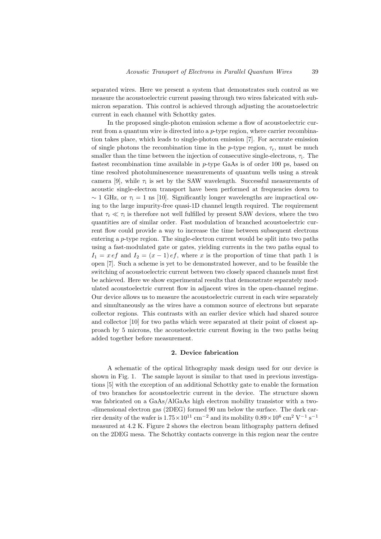separated wires. Here we present a system that demonstrates such control as we measure the acoustoelectric current passing through two wires fabricated with submicron separation. This control is achieved through adjusting the acoustoelectric current in each channel with Schottky gates.

In the proposed single-photon emission scheme a flow of acoustoelectric current from a quantum wire is directed into a p-type region, where carrier recombination takes place, which leads to single-photon emission [7]. For accurate emission of single photons the recombination time in the p-type region,  $\tau_r$ , must be much smaller than the time between the injection of consecutive single-electrons,  $\tau_i$ . The fastest recombination time available in p-type GaAs is of order 100 ps, based on time resolved photoluminescence measurements of quantum wells using a streak camera [9], while  $\tau_i$  is set by the SAW wavelength. Successful measurements of acoustic single-electron transport have been performed at frequencies down to  $\sim$  1 GHz, or  $\tau_i$  = 1 ns [10]. Significantly longer wavelengths are impractical owing to the large impurity-free quasi-1D channel length required. The requirement that  $\tau_{\rm r} \ll \tau_{\rm i}$  is therefore not well fulfilled by present SAW devices, where the two quantities are of similar order. Fast modulation of branched acoustoelectric current flow could provide a way to increase the time between subsequent electrons entering a p-type region. The single-electron current would be split into two paths using a fast-modulated gate or gates, yielding currents in the two paths equal to  $I_1 = x e f$  and  $I_2 = (x - 1) e f$ , where x is the proportion of time that path 1 is open [7]. Such a scheme is yet to be demonstrated however, and to be feasible the switching of acoustoelectric current between two closely spaced channels must first be achieved. Here we show experimental results that demonstrate separately modulated acoustoelectric current flow in adjacent wires in the open-channel regime. Our device allows us to measure the acoustoelectric current in each wire separately and simultaneously as the wires have a common source of electrons but separate collector regions. This contrasts with an earlier device which had shared source and collector [10] for two paths which were separated at their point of closest approach by 5 microns, the acoustoelectric current flowing in the two paths being added together before measurement.

#### 2. Device fabrication

A schematic of the optical lithography mask design used for our device is shown in Fig. 1. The sample layout is similar to that used in previous investigations [5] with the exception of an additional Schottky gate to enable the formation of two branches for acoustoelectric current in the device. The structure shown was fabricated on a GaAs/AlGaAs high electron mobility transistor with a two- -dimensional electron gas (2DEG) formed 90 nm below the surface. The dark carrier density of the wafer is  $1.75 \times 10^{11}$  cm<sup>-2</sup> and its mobility  $0.89 \times 10^6$  cm<sup>2</sup> V<sup>-1</sup> s<sup>-1</sup> measured at 4.2 K. Figure 2 shows the electron beam lithography pattern defined on the 2DEG mesa. The Schottky contacts converge in this region near the centre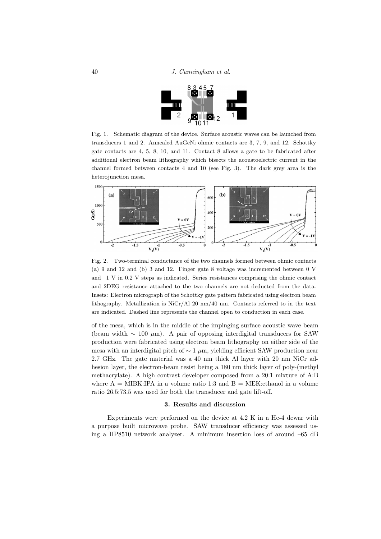

Fig. 1. Schematic diagram of the device. Surface acoustic waves can be launched from transducers 1 and 2. Annealed AuGeNi ohmic contacts are 3, 7, 9, and 12. Schottky gate contacts are 4, 5, 8, 10, and 11. Contact 8 allows a gate to be fabricated after additional electron beam lithography which bisects the acoustoelectric current in the channel formed between contacts 4 and 10 (see Fig. 3). The dark grey area is the heterojunction mesa.



Fig. 2. Two-terminal conductance of the two channels formed between ohmic contacts (a) 9 and 12 and (b) 3 and 12. Finger gate 8 voltage was incremented between 0 V and  $-1$  V in 0.2 V steps as indicated. Series resistances comprising the ohmic contact and 2DEG resistance attached to the two channels are not deducted from the data. Insets: Electron micrograph of the Schottky gate pattern fabricated using electron beam lithography. Metallization is  $NiCr/A120$  nm/40 nm. Contacts referred to in the text are indicated. Dashed line represents the channel open to conduction in each case.

of the mesa, which is in the middle of the impinging surface acoustic wave beam (beam width  $\sim 100 \ \mu m$ ). A pair of opposing interdigital transducers for SAW production were fabricated using electron beam lithography on either side of the mesa with an interdigital pitch of  $\sim 1 \mu$ m, yielding efficient SAW production near 2.7 GHz. The gate material was a 40 nm thick Al layer with 20 nm NiCr adhesion layer, the electron-beam resist being a 180 nm thick layer of poly-(methyl methacrylate). A high contrast developer composed from a 20:1 mixture of A:B where  $A = \text{MIBK:IPA}$  in a volume ratio 1:3 and  $B = \text{MEK: ethanol}$  in a volume ratio 26.5:73.5 was used for both the transducer and gate lift-off.

## 3. Results and discussion

Experiments were performed on the device at 4.2 K in a He-4 dewar with a purpose built microwave probe. SAW transducer efficiency was assessed using a HP8510 network analyzer. A minimum insertion loss of around –65 dB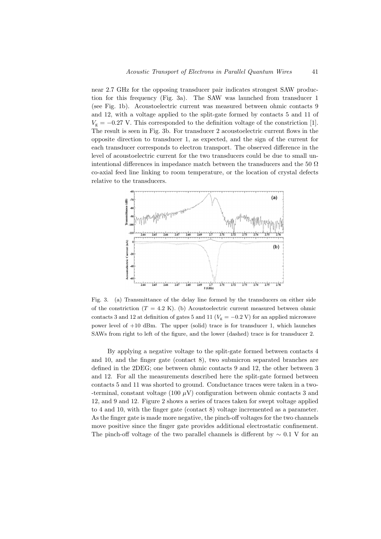near 2.7 GHz for the opposing transducer pair indicates strongest SAW production for this frequency (Fig. 3a). The SAW was launched from transducer 1 (see Fig. 1b). Acoustoelectric current was measured between ohmic contacts 9 and 12, with a voltage applied to the split-gate formed by contacts 5 and 11 of  $V_g = -0.27$  V. This corresponded to the definition voltage of the constriction [1]. The result is seen in Fig. 3b. For transducer 2 acoustoelectric current flows in the opposite direction to transducer 1, as expected, and the sign of the current for each transducer corresponds to electron transport. The observed difference in the level of acoustoelectric current for the two transducers could be due to small unintentional differences in impedance match between the transducers and the 50  $\Omega$ co-axial feed line linking to room temperature, or the location of crystal defects relative to the transducers.



Fig. 3. (a) Transmittance of the delay line formed by the transducers on either side of the constriction  $(T = 4.2 \text{ K})$ . (b) Acoustoelectric current measured between ohmic contacts 3 and 12 at definition of gates 5 and 11 ( $V_g = -0.2$  V) for an applied microwave power level of +10 dBm. The upper (solid) trace is for transducer 1, which launches SAWs from right to left of the figure, and the lower (dashed) trace is for transducer 2.

By applying a negative voltage to the split-gate formed between contacts 4 and 10, and the finger gate (contact 8), two submicron separated branches are defined in the 2DEG; one between ohmic contacts 9 and 12, the other between 3 and 12. For all the measurements described here the split-gate formed between contacts 5 and 11 was shorted to ground. Conductance traces were taken in a two- -terminal, constant voltage (100  $\mu$ V) configuration between ohmic contacts 3 and 12, and 9 and 12. Figure 2 shows a series of traces taken for swept voltage applied to 4 and 10, with the finger gate (contact 8) voltage incremented as a parameter. As the finger gate is made more negative, the pinch-off voltages for the two channels move positive since the finger gate provides additional electrostatic confinement. The pinch-off voltage of the two parallel channels is different by  $\sim 0.1$  V for an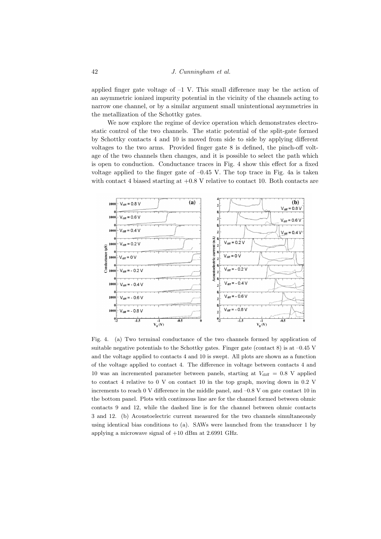applied finger gate voltage of  $-1$  V. This small difference may be the action of an asymmetric ionized impurity potential in the vicinity of the channels acting to narrow one channel, or by a similar argument small unintentional asymmetries in the metallization of the Schottky gates.

We now explore the regime of device operation which demonstrates electrostatic control of the two channels. The static potential of the split-gate formed by Schottky contacts 4 and 10 is moved from side to side by applying different voltages to the two arms. Provided finger gate 8 is defined, the pinch-off voltage of the two channels then changes, and it is possible to select the path which is open to conduction. Conductance traces in Fig. 4 show this effect for a fixed voltage applied to the finger gate of  $-0.45$  V. The top trace in Fig. 4a is taken with contact 4 biased starting at  $+0.8$  V relative to contact 10. Both contacts are



Fig. 4. (a) Two terminal conductance of the two channels formed by application of suitable negative potentials to the Schottky gates. Finger gate (contact  $8$ ) is at  $-0.45$  V and the voltage applied to contacts 4 and 10 is swept. All plots are shown as a function of the voltage applied to contact 4. The difference in voltage between contacts 4 and 10 was an incremented parameter between panels, starting at  $V_{\text{diff}} = 0.8$  V applied to contact 4 relative to 0 V on contact 10 in the top graph, moving down in 0.2 V increments to reach 0 V difference in the middle panel, and –0.8 V on gate contact 10 in the bottom panel. Plots with continuous line are for the channel formed between ohmic contacts 9 and 12, while the dashed line is for the channel between ohmic contacts 3 and 12. (b) Acoustoelectric current measured for the two channels simultaneously using identical bias conditions to (a). SAWs were launched from the transducer 1 by applying a microwave signal of +10 dBm at 2.6991 GHz.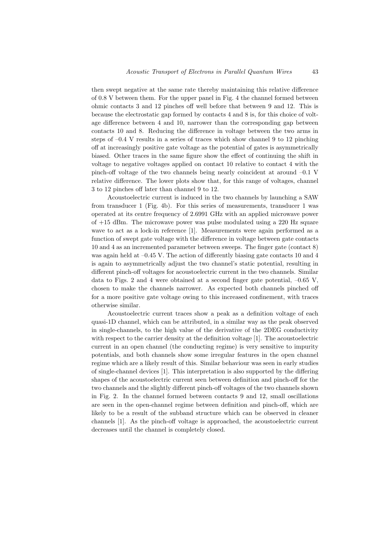then swept negative at the same rate thereby maintaining this relative difference of 0.8 V between them. For the upper panel in Fig. 4 the channel formed between ohmic contacts 3 and 12 pinches off well before that between 9 and 12. This is because the electrostatic gap formed by contacts 4 and 8 is, for this choice of voltage difference between 4 and 10, narrower than the corresponding gap between contacts 10 and 8. Reducing the difference in voltage between the two arms in steps of  $-0.4$  V results in a series of traces which show channel 9 to 12 pinching off at increasingly positive gate voltage as the potential of gates is asymmetrically biased. Other traces in the same figure show the effect of continuing the shift in voltage to negative voltages applied on contact 10 relative to contact 4 with the pinch-off voltage of the two channels being nearly coincident at around –0.1 V relative difference. The lower plots show that, for this range of voltages, channel 3 to 12 pinches off later than channel 9 to 12.

Acoustoelectric current is induced in the two channels by launching a SAW from transducer 1 (Fig. 4b). For this series of measurements, transducer 1 was operated at its centre frequency of 2.6991 GHz with an applied microwave power of +15 dBm. The microwave power was pulse modulated using a 220 Hz square wave to act as a lock-in reference [1]. Measurements were again performed as a function of swept gate voltage with the difference in voltage between gate contacts 10 and 4 as an incremented parameter between sweeps. The finger gate (contact 8) was again held at  $-0.45$  V. The action of differently biasing gate contacts 10 and 4 is again to asymmetrically adjust the two channel's static potential, resulting in different pinch-off voltages for acoustoelectric current in the two channels. Similar data to Figs. 2 and 4 were obtained at a second finger gate potential,  $-0.65$  V, chosen to make the channels narrower. As expected both channels pinched off for a more positive gate voltage owing to this increased confinement, with traces otherwise similar.

Acoustoelectric current traces show a peak as a definition voltage of each quasi-1D channel, which can be attributed, in a similar way as the peak observed in single-channels, to the high value of the derivative of the 2DEG conductivity with respect to the carrier density at the definition voltage [1]. The acoustoelectric current in an open channel (the conducting regime) is very sensitive to impurity potentials, and both channels show some irregular features in the open channel regime which are a likely result of this. Similar behaviour was seen in early studies of single-channel devices [1]. This interpretation is also supported by the differing shapes of the acoustoelectric current seen between definition and pinch-off for the two channels and the slightly different pinch-off voltages of the two channels shown in Fig. 2. In the channel formed between contacts 9 and 12, small oscillations are seen in the open-channel regime between definition and pinch-off, which are likely to be a result of the subband structure which can be observed in cleaner channels [1]. As the pinch-off voltage is approached, the acoustoelectric current decreases until the channel is completely closed.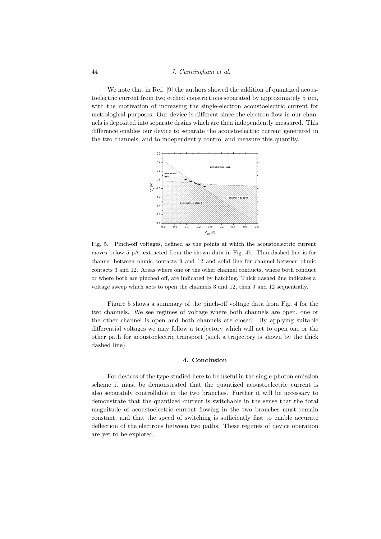#### 44 J. Cunningham et al.

We note that in Ref. [9] the authors showed the addition of quantized acoustoelectric current from two etched constrictions separated by approximately  $5 \mu m$ , with the motivation of increasing the single-electron acoustoelectric current for metrological purposes. Our device is different since the electron flow in our channels is deposited into separate drains which are then independently measured. This difference enables our device to separate the acoustoelectric current generated in the two channels, and to independently control and measure this quantity.



Fig. 5. Pinch-off voltages, defined as the points at which the acoustoelectric current moves below 5 pA, extracted from the shown data in Fig. 4b. Thin dashed line is for channel between ohmic contacts 9 and 12 and solid line for channel between ohmic contacts 3 and 12. Areas where one or the other channel conducts, where both conduct or where both are pinched off, are indicated by hatching. Thick dashed line indicates a voltage sweep which acts to open the channels 3 and 12, then 9 and 12 sequentially.

Figure 5 shows a summary of the pinch-off voltage data from Fig. 4 for the two channels. We see regimes of voltage where both channels are open, one or the other channel is open and both channels are closed. By applying suitable differential voltages we may follow a trajectory which will act to open one or the other path for acoustoelectric transport (such a trajectory is shown by the thick dashed line).

# 4. Conclusion

For devices of the type studied here to be useful in the single-photon emission scheme it must be demonstrated that the quantized acoustoelectric current is also separately controllable in the two branches. Further it will be necessary to demonstrate that the quantized current is switchable in the sense that the total magnitude of acoustoelectric current flowing in the two branches must remain constant, and that the speed of switching is sufficiently fast to enable accurate deflection of the electrons between two paths. These regimes of device operation are yet to be explored.